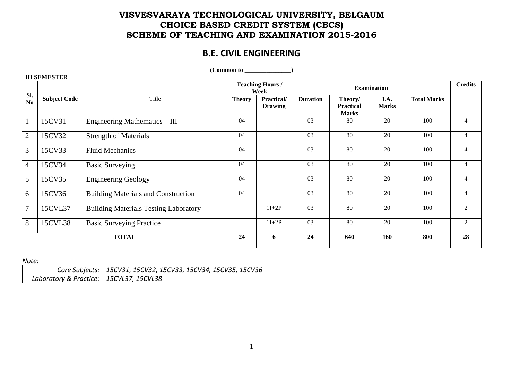## **VISVESVARAYA TECHNOLOGICAL UNIVERSITY, BELGAUM CHOICE BASED CREDIT SYSTEM (CBCS) SCHEME OF TEACHING AND EXAMINATION 2015-2016**

# **B.E. CIVIL ENGINEERING**

| III SEMESTEK   |                     |                                              |                                 |                              |                 |                                             |                      |                    |                |
|----------------|---------------------|----------------------------------------------|---------------------------------|------------------------------|-----------------|---------------------------------------------|----------------------|--------------------|----------------|
| Sl.            |                     |                                              | <b>Teaching Hours /</b><br>Week |                              |                 | <b>Credits</b>                              |                      |                    |                |
| No             | <b>Subject Code</b> | Title                                        | <b>Theory</b>                   | Practical/<br><b>Drawing</b> | <b>Duration</b> | Theory/<br><b>Practical</b><br><b>Marks</b> | I.A.<br><b>Marks</b> | <b>Total Marks</b> |                |
|                | 15CV31              | Engineering Mathematics - III                | 04                              |                              | 03              | 80                                          | 20                   | 100                | $\overline{4}$ |
| $\overline{2}$ | 15CV32              | <b>Strength of Materials</b>                 | 04                              |                              | 03              | 80                                          | 20                   | 100                | $\overline{4}$ |
| 3              | 15CV33              | <b>Fluid Mechanics</b>                       | 04                              |                              | 03              | 80                                          | 20                   | 100                | $\overline{4}$ |
| $\overline{4}$ | 15CV34              | <b>Basic Surveying</b>                       | 04                              |                              | 03              | 80                                          | 20                   | 100                | $\overline{4}$ |
| 5              | 15CV35              | <b>Engineering Geology</b>                   | 04                              |                              | 03              | 80                                          | 20                   | 100                | $\overline{4}$ |
| 6              | 15CV36              | <b>Building Materials and Construction</b>   | 04                              |                              | 03              | 80                                          | 20                   | 100                | 4              |
| $\overline{7}$ | 15CVL37             | <b>Building Materials Testing Laboratory</b> |                                 | $1I+2P$                      | 03              | 80                                          | 20                   | 100                | $\overline{2}$ |
| 8              | 15CVL38             | <b>Basic Surveying Practice</b>              |                                 | $1I+2P$                      | 03              | 80                                          | 20                   | 100                | 2              |
|                |                     | <b>TOTAL</b>                                 | 24                              | 6                            | 24              | 640                                         | 160                  | 800                | 28             |

 $(Common to$   $)$ 

*Note:* 

 **III SEMESTER** 

| Core Subjects:         | 15CV31, 15CV32, 15CV33, 15CV34, 15CV35, 15CV36 |
|------------------------|------------------------------------------------|
| Laboratory & Practice: | 15CVL37, 15CVL38                               |